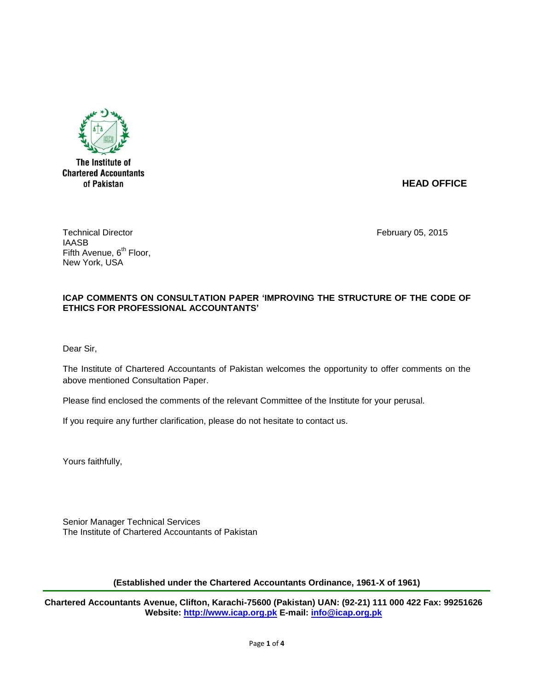

The Institute of **Chartered Accountants** of Pakistan

# **HEAD OFFICE**

Technical Director **February 05, 2015** IAASB Fifth Avenue,  $6<sup>th</sup>$  Floor, New York, USA

# **ICAP COMMENTS ON CONSULTATION PAPER 'IMPROVING THE STRUCTURE OF THE CODE OF ETHICS FOR PROFESSIONAL ACCOUNTANTS'**

Dear Sir,

The Institute of Chartered Accountants of Pakistan welcomes the opportunity to offer comments on the above mentioned Consultation Paper.

Please find enclosed the comments of the relevant Committee of the Institute for your perusal.

If you require any further clarification, please do not hesitate to contact us.

Yours faithfully,

Senior Manager Technical Services The Institute of Chartered Accountants of Pakistan

**(Established under the Chartered Accountants Ordinance, 1961-X of 1961)**

**Chartered Accountants Avenue, Clifton, Karachi-75600 (Pakistan) UAN: (92-21) 111 000 422 Fax: 99251626 Website: [http://www.icap.org.pk](http://www.icap.org.pk/) E-mail: [info@icap.org.pk](mailto:info@icap.org.pk)**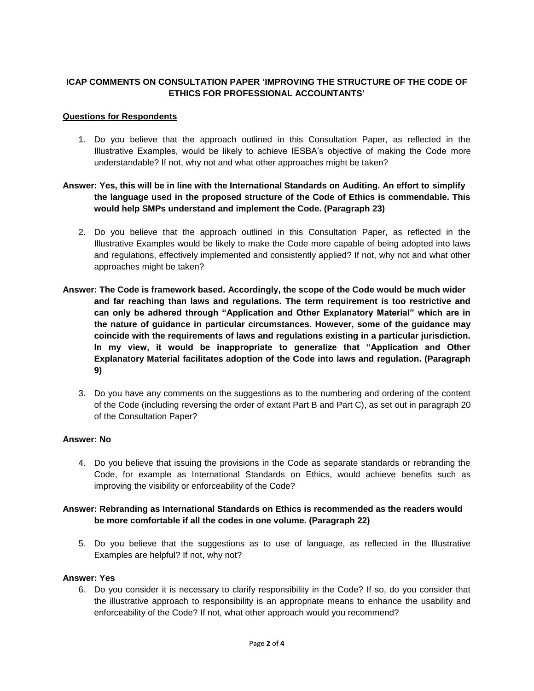# **ICAP COMMENTS ON CONSULTATION PAPER 'IMPROVING THE STRUCTURE OF THE CODE OF ETHICS FOR PROFESSIONAL ACCOUNTANTS'**

#### **Questions for Respondents**

1. Do you believe that the approach outlined in this Consultation Paper, as reflected in the Illustrative Examples, would be likely to achieve IESBA's objective of making the Code more understandable? If not, why not and what other approaches might be taken?

# **Answer: Yes, this will be in line with the International Standards on Auditing. An effort to simplify the language used in the proposed structure of the Code of Ethics is commendable. This would help SMPs understand and implement the Code. (Paragraph 23)**

- 2. Do you believe that the approach outlined in this Consultation Paper, as reflected in the Illustrative Examples would be likely to make the Code more capable of being adopted into laws and regulations, effectively implemented and consistently applied? If not, why not and what other approaches might be taken?
- **Answer: The Code is framework based. Accordingly, the scope of the Code would be much wider and far reaching than laws and regulations. The term requirement is too restrictive and can only be adhered through "Application and Other Explanatory Material" which are in the nature of guidance in particular circumstances. However, some of the guidance may coincide with the requirements of laws and regulations existing in a particular jurisdiction. In my view, it would be inappropriate to generalize that "Application and Other Explanatory Material facilitates adoption of the Code into laws and regulation. (Paragraph 9)**
	- 3. Do you have any comments on the suggestions as to the numbering and ordering of the content of the Code (including reversing the order of extant Part B and Part C), as set out in paragraph 20 of the Consultation Paper?

### **Answer: No**

4. Do you believe that issuing the provisions in the Code as separate standards or rebranding the Code, for example as International Standards on Ethics, would achieve benefits such as improving the visibility or enforceability of the Code?

# **Answer: Rebranding as International Standards on Ethics is recommended as the readers would be more comfortable if all the codes in one volume. (Paragraph 22)**

5. Do you believe that the suggestions as to use of language, as reflected in the Illustrative Examples are helpful? If not, why not?

#### **Answer: Yes**

6. Do you consider it is necessary to clarify responsibility in the Code? If so, do you consider that the illustrative approach to responsibility is an appropriate means to enhance the usability and enforceability of the Code? If not, what other approach would you recommend?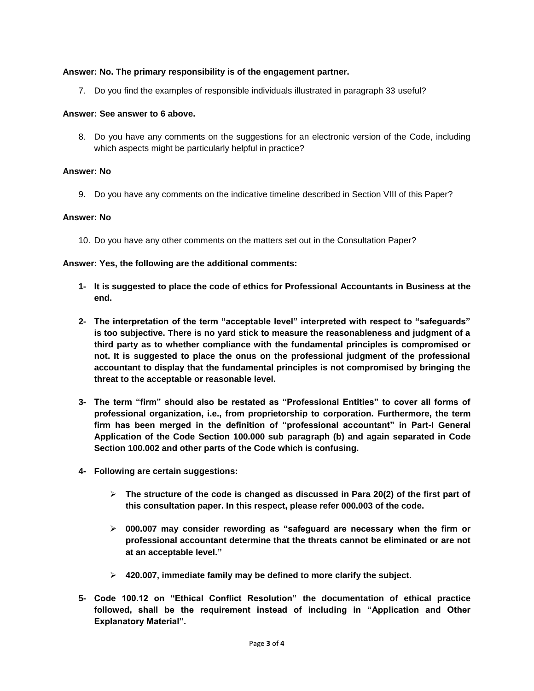### **Answer: No. The primary responsibility is of the engagement partner.**

7. Do you find the examples of responsible individuals illustrated in paragraph 33 useful?

### **Answer: See answer to 6 above.**

8. Do you have any comments on the suggestions for an electronic version of the Code, including which aspects might be particularly helpful in practice?

### **Answer: No**

9. Do you have any comments on the indicative timeline described in Section VIII of this Paper?

#### **Answer: No**

10. Do you have any other comments on the matters set out in the Consultation Paper?

#### **Answer: Yes, the following are the additional comments:**

- **1- It is suggested to place the code of ethics for Professional Accountants in Business at the end.**
- **2- The interpretation of the term "acceptable level" interpreted with respect to "safeguards" is too subjective. There is no yard stick to measure the reasonableness and judgment of a third party as to whether compliance with the fundamental principles is compromised or not. It is suggested to place the onus on the professional judgment of the professional accountant to display that the fundamental principles is not compromised by bringing the threat to the acceptable or reasonable level.**
- **3- The term "firm" should also be restated as "Professional Entities" to cover all forms of professional organization, i.e., from proprietorship to corporation. Furthermore, the term firm has been merged in the definition of "professional accountant" in Part-I General Application of the Code Section 100.000 sub paragraph (b) and again separated in Code Section 100.002 and other parts of the Code which is confusing.**
- **4- Following are certain suggestions:**
	- **The structure of the code is changed as discussed in Para 20(2) of the first part of this consultation paper. In this respect, please refer 000.003 of the code.**
	- **000.007 may consider rewording as "safeguard are necessary when the firm or professional accountant determine that the threats cannot be eliminated or are not at an acceptable level."**
	- **420.007, immediate family may be defined to more clarify the subject.**
- **5- Code 100.12 on "Ethical Conflict Resolution" the documentation of ethical practice followed, shall be the requirement instead of including in "Application and Other Explanatory Material".**